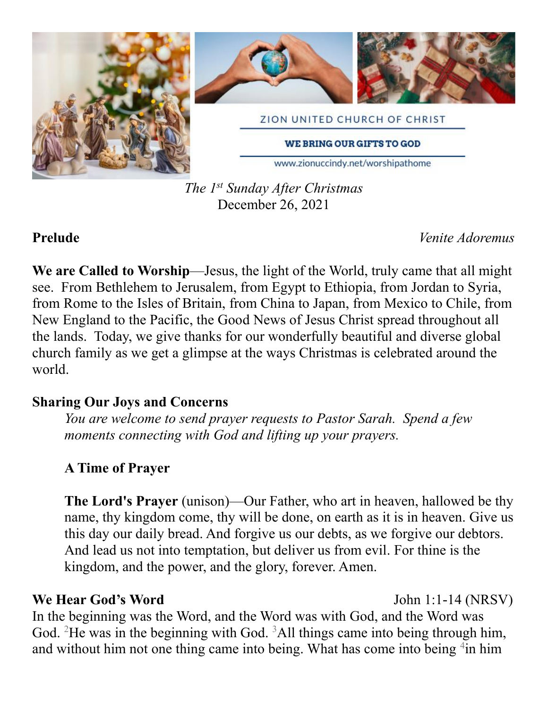

*The 1st Sunday After Christmas* December 26, 2021

**Prelude** *Venite Adoremus*

**We are Called to Worship**—Jesus, the light of the World, truly came that all might see. From Bethlehem to Jerusalem, from Egypt to Ethiopia, from Jordan to Syria, from Rome to the Isles of Britain, from China to Japan, from Mexico to Chile, from New England to the Pacific, the Good News of Jesus Christ spread throughout all the lands. Today, we give thanks for our wonderfully beautiful and diverse global church family as we get a glimpse at the ways Christmas is celebrated around the world.

## **Sharing Our Joys and Concerns**

*You are welcome to send prayer requests to Pastor Sarah. Spend a few moments connecting with God and lifting up your prayers.*

# **A Time of Prayer**

**The Lord's Prayer** (unison)—Our Father, who art in heaven, hallowed be thy name, thy kingdom come, thy will be done, on earth as it is in heaven. Give us this day our daily bread. And forgive us our debts, as we forgive our debtors. And lead us not into temptation, but deliver us from evil. For thine is the kingdom, and the power, and the glory, forever. Amen.

## **We Hear God's Word** John 1:1-14 (NRSV)

In the beginning was the Word, and the Word was with God, and the Word was God. <sup>2</sup>He was in the beginning with God. <sup>3</sup>All things came into being through him, and without him not one thing came into being. What has come into being  $4$ in him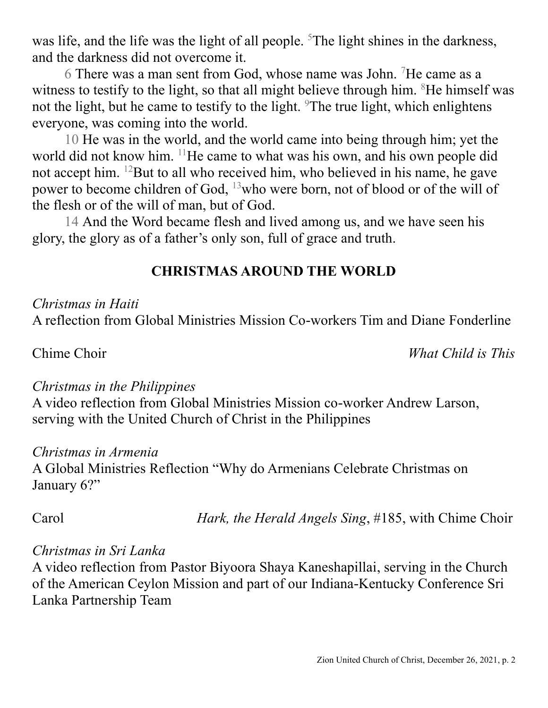was life, and the life was the light of all people. <sup>5</sup>The light shines in the darkness, and the darkness did not overcome it.

6 There was a man sent from God, whose name was John. <sup>7</sup>He came as a witness to testify to the light, so that all might believe through him. <sup>8</sup>He himself was not the light, but he came to testify to the light. <sup>9</sup>The true light, which enlightens everyone, was coming into the world.

10 He was in the world, and the world came into being through him; yet the world did not know him. <sup>11</sup>He came to what was his own, and his own people did not accept him. <sup>12</sup>But to all who received him, who believed in his name, he gave power to become children of God, <sup>13</sup>who were born, not of blood or of the will of the flesh or of the will of man, but of God.

14 And the Word became flesh and lived among us, and we have seen his glory, the glory as of a father's only son, full of grace and truth.

# **CHRISTMAS AROUND THE WORLD**

### *Christmas in Haiti*

A reflection from Global Ministries Mission Co-workers Tim and Diane Fonderline

Chime Choir*What Child is This*

### *Christmas in the Philippines*

A video reflection from Global Ministries Mission co-worker Andrew Larson, serving with the United Church of Christ in the Philippines

### *Christmas in Armenia*

A Global Ministries Reflection "Why do Armenians Celebrate Christmas on January 6?"

Carol *Hark, the Herald Angels Sing*, #185, with Chime Choir

### *Christmas in Sri Lanka*

A video reflection from Pastor Biyoora Shaya Kaneshapillai, serving in the Church of the American Ceylon Mission and part of our Indiana-Kentucky Conference Sri Lanka Partnership Team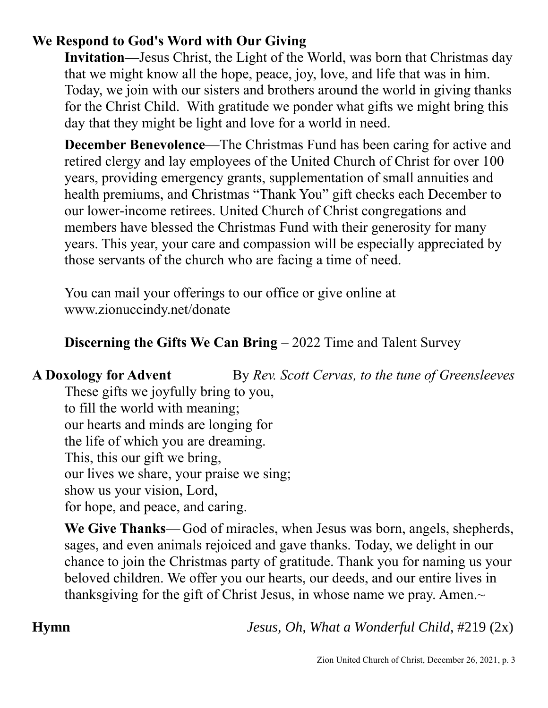# **We Respond to God's Word with Our Giving**

**Invitation—**Jesus Christ, the Light of the World, was born that Christmas day that we might know all the hope, peace, joy, love, and life that was in him. Today, we join with our sisters and brothers around the world in giving thanks for the Christ Child. With gratitude we ponder what gifts we might bring this day that they might be light and love for a world in need.

**December Benevolence—The Christmas Fund has been caring for active and** retired clergy and lay employees of the United Church of Christ for over 100 years, providing emergency grants, supplementation of small annuities and health premiums, and Christmas "Thank You" gift checks each December to our lower-income retirees. United Church of Christ congregations and members have blessed the Christmas Fund with their generosity for many years. This year, your care and compassion will be especially appreciated by those servants of the church who are facing a time of need.

You can mail your offerings to our office or give online at www.zionuccindy.net/donate

# **Discerning the Gifts We Can Bring – 2022 Time and Talent Survey**

**A Doxology for Advent** By *Rev. Scott Cervas, to the tune of Greensleeves* These gifts we joyfully bring to you, to fill the world with meaning; our hearts and minds are longing for the life of which you are dreaming.

This, this our gift we bring,

our lives we share, your praise we sing;

show us your vision, Lord,

for hope, and peace, and caring.

**We Give Thanks**—God of miracles, when Jesus was born, angels, shepherds, sages, and even animals rejoiced and gave thanks. Today, we delight in our chance to join the Christmas party of gratitude. Thank you for naming us your beloved children. We offer you our hearts, our deeds, and our entire lives in thanksgiving for the gift of Christ Jesus, in whose name we pray. Amen. $\sim$ 

**Hymn** *Jesus, Oh, What a Wonderful Child*, #219 (2x)